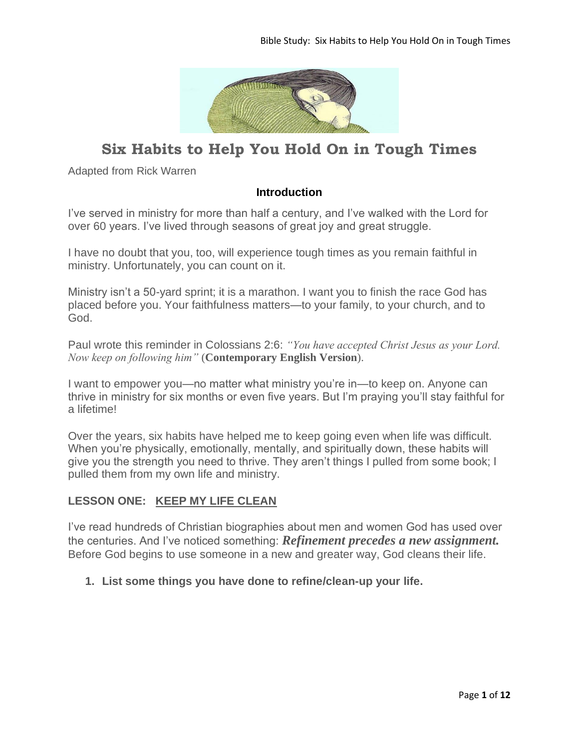

# **Six Habits to Help You Hold On in Tough Times**

Adapted from [Rick Warren](https://pastors.com/author/rickwarren/)

# **Introduction**

I've served in ministry for more than half a century, and I've walked with the Lord for over 60 years. I've lived through seasons of great joy and great struggle.

I have no doubt that you, too, will experience tough times as you remain faithful in ministry. Unfortunately, you can count on it.

Ministry isn't a 50-yard sprint; it is a marathon. I want you to finish the race God has placed before you. Your faithfulness matters—to your family, to your church, and to God.

Paul wrote this reminder in Colossians 2:6: *"You have accepted Christ Jesus as your Lord. Now keep on following him"* (**Contemporary English Version**).

I want to empower you—no matter what ministry you're in—to keep on. Anyone can thrive in ministry for six months or even five years. But I'm praying you'll stay faithful for a lifetime!

Over the years, six habits have helped me to keep going even when life was difficult. When you're physically, emotionally, mentally, and spiritually down, these habits will give you the strength you need to thrive. They aren't things I pulled from some book; I pulled them from my own life and ministry.

# **LESSON ONE: KEEP MY LIFE CLEAN**

I've read hundreds of Christian biographies about men and women God has used over the centuries. And I've noticed something: *Refinement precedes a new assignment.* Before God begins to use someone in a new and greater way, God cleans their life.

**1. List some things you have done to refine/clean-up your life.**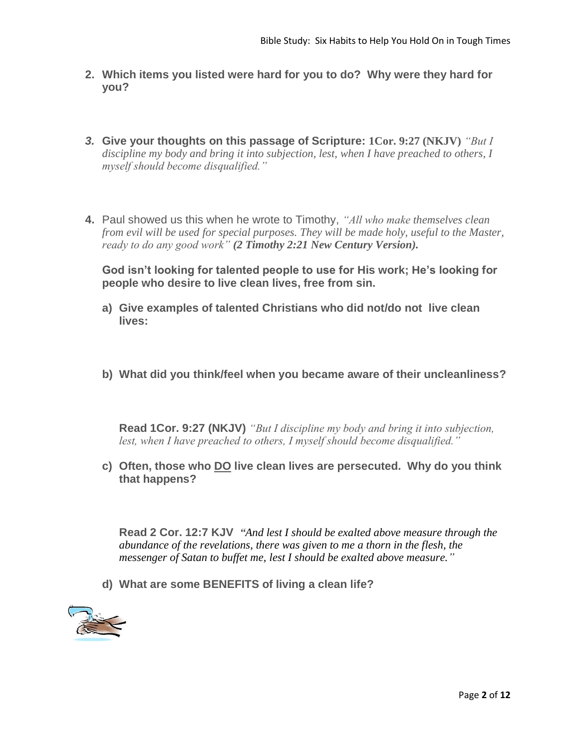- **2. Which items you listed were hard for you to do? Why were they hard for you?**
- *3.* **Give your thoughts on this passage of Scripture: 1Cor. 9:27 (NKJV)** *"But I discipline my body and bring it into subjection, lest, when I have preached to others, I myself should become disqualified."*
- **4.** Paul showed us this when he wrote to Timothy, *"All who make themselves clean from evil will be used for special purposes. They will be made holy, useful to the Master, ready to do any good work" (2 Timothy 2:21 New Century Version).*

**God isn't looking for talented people to use for His work; He's looking for people who desire to live clean lives, free from sin.**

- **a) Give examples of talented Christians who did not/do not live clean lives:**
- **b) What did you think/feel when you became aware of their uncleanliness?**

**Read 1Cor. 9:27 (NKJV)** *"But I discipline my body and bring it into subjection, lest, when I have preached to others, I myself should become disqualified."* 

**c) Often, those who DO live clean lives are persecuted. Why do you think that happens?**

**Read 2 Cor. 12:7 KJV** *"And lest I should be exalted above measure through the abundance of the revelations, there was given to me a thorn in the flesh, the messenger of Satan to buffet me, lest I should be exalted above measure."*

**d) What are some BENEFITS of living a clean life?**

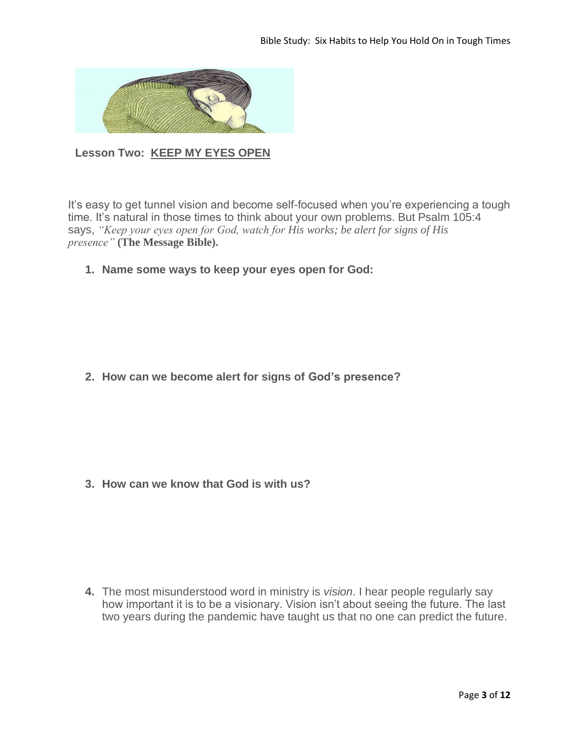

**Lesson Two: KEEP MY EYES OPEN**

It's easy to get tunnel vision and become self-focused when you're experiencing a tough time. It's natural in those times to think about your own problems. But Psalm 105:4 says, *"Keep your eyes open for God, watch for His works; be alert for signs of His presence"* **(The Message Bible).**

**1. Name some ways to keep your eyes open for God:**

**2. How can we become alert for signs of God's presence?**

**3. How can we know that God is with us?**

**4.** The most misunderstood word in ministry is *vision*. I hear people regularly say how important it is to be a visionary. Vision isn't about seeing the future. The last two years during the pandemic have taught us that no one can predict the future.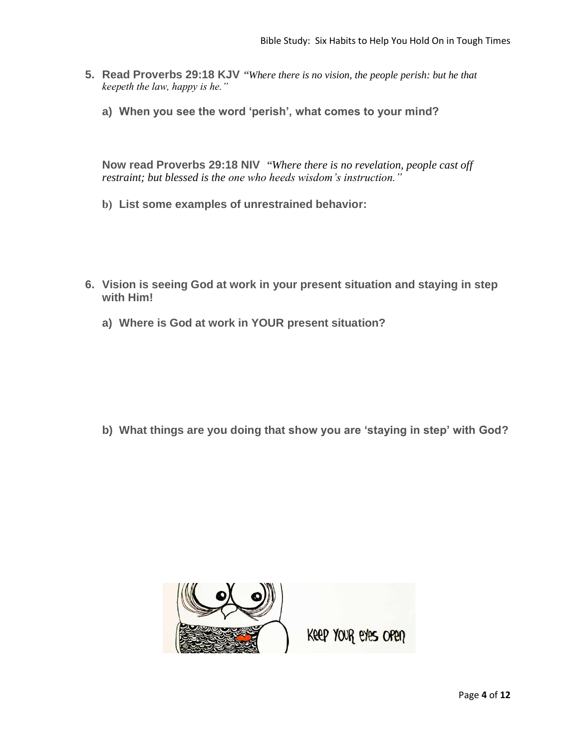- **5. Read Proverbs 29:18 KJV** *"Where there is no vision, the people perish: but he that keepeth the law, happy is he."*
	- **a) When you see the word 'perish', what comes to your mind?**

**Now read Proverbs 29:18 NIV** *"Where there is no revelation, people cast off restraint; but blessed is the one who heeds wisdom's instruction."*

- **b) List some examples of unrestrained behavior:**
- **6. Vision is seeing God at work in your present situation and staying in step with Him!**
	- **a) Where is God at work in YOUR present situation?**

**b) What things are you doing that show you are 'staying in step' with God?**

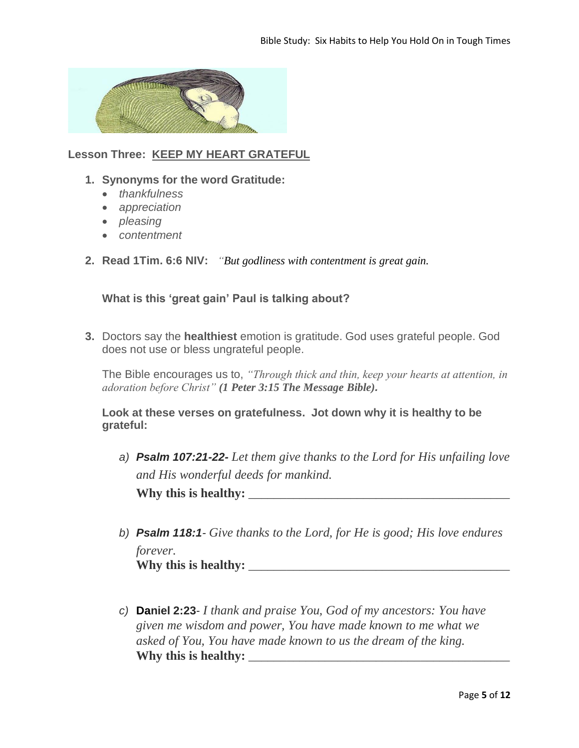

#### **Lesson Three: KEEP MY HEART GRATEFUL**

- **1. Synonyms for the word Gratitude:** 
	- *thankfulness*
	- *appreciation*
	- *pleasing*
	- *contentment*
- **2. Read 1Tim. 6:6 NIV:** *"But godliness with contentment is great gain.*

**What is this 'great gain' Paul is talking about?**

**3.** Doctors say the **healthiest** emotion is gratitude. God uses grateful people. God does not use or bless ungrateful people.

The Bible encourages us to, *"Through thick and thin, keep your hearts at attention, in adoration before Christ" (1 Peter 3:15 The Message Bible).*

**Look at these verses on gratefulness. Jot down why it is healthy to be grateful:**

*a) Psalm 107:21-22- Let them give thanks to the Lord for His unfailing love and His wonderful deeds for mankind.*

**Why this is healthy:** *\_\_\_\_\_\_\_\_\_\_\_\_\_\_\_\_\_\_\_\_\_\_\_\_\_\_\_\_\_\_\_\_\_\_\_\_\_\_\_\_\_*

- *b) Psalm 118:1- Give thanks to the Lord, for He is good; His love endures forever.* **Why this is healthy:** \_\_\_\_\_\_\_\_\_\_\_\_\_\_\_\_\_\_\_\_\_\_\_\_\_\_\_\_\_\_\_\_\_\_\_\_\_\_\_\_\_
- *c)* **Daniel 2:23** *I thank and praise You, God of my ancestors: You have given me wisdom and power, You have made known to me what we asked of You, You have made known to us the dream of the king.* **Why this is healthy:** \_\_\_\_\_\_\_\_\_\_\_\_\_\_\_\_\_\_\_\_\_\_\_\_\_\_\_\_\_\_\_\_\_\_\_\_\_\_\_\_\_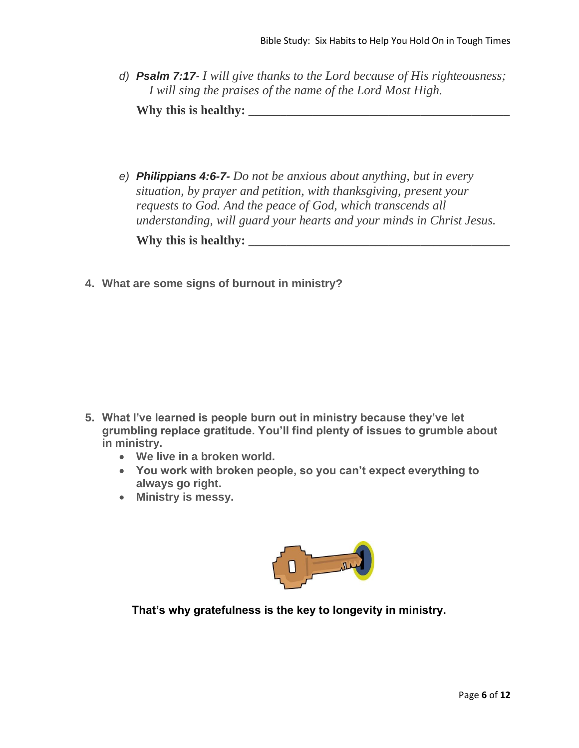*d) Psalm 7:17- I will give thanks to the Lord because of His righteousness; I will sing the praises of the name of the Lord Most High.*

**Why this is healthy:** \_\_\_\_\_\_\_\_\_\_\_\_\_\_\_\_\_\_\_\_\_\_\_\_\_\_\_\_\_\_\_\_\_\_\_\_\_\_\_\_\_

- *e) Philippians 4:6-7- Do not be anxious about anything, but in every situation, by prayer and petition, with thanksgiving, present your requests to God. And the peace of God, which transcends all understanding, will guard your hearts and your minds in Christ Jesus.* Why this is healthy:
- **4. What are some signs of burnout in ministry?**

- **5. What I've learned is people burn out in ministry because they've let grumbling replace gratitude. You'll find plenty of issues to grumble about in ministry.**
	- **We live in a broken world.**
	- **You work with broken people, so you can't expect everything to always go right.**
	- **Ministry is messy.**



**That's why gratefulness is the key to longevity in ministry.**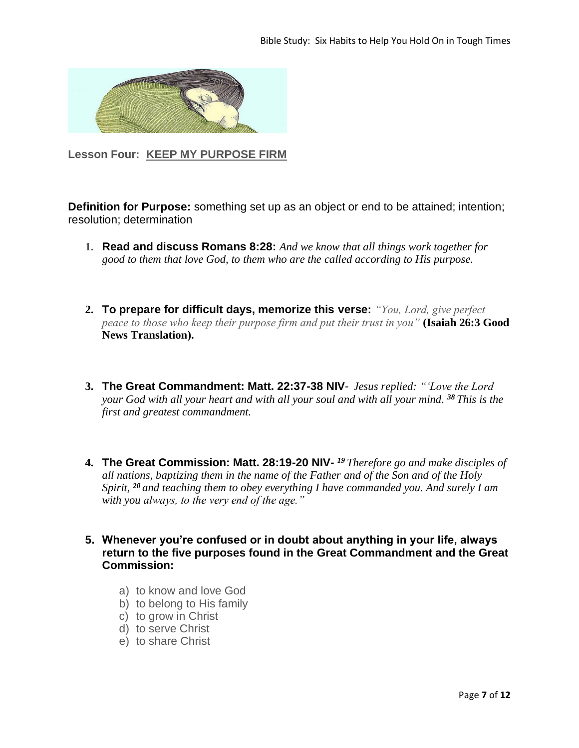

**Lesson Four: KEEP MY PURPOSE FIRM**

**Definition for Purpose:** something set up as an object or end to be attained; intention; resolution; determination

- **1. Read and discuss Romans 8:28:** *And we know that all things work together for good to them that love God, to them who are the called according to His purpose.*
- **2. To prepare for difficult days, memorize this verse:** *"You, Lord, give perfect peace to those who keep their purpose firm and put their trust in you"* **(Isaiah 26:3 Good News Translation).**
- **3. The Great Commandment: Matt. 22:37-38 NIV** *Jesus replied: "'Love the Lord your God with all your heart and with all your soul and with all your mind. <sup>38</sup> This is the first and greatest commandment.*
- **4. The Great Commission: Matt. 28:19-20 NIV-***<sup>19</sup> Therefore go and make disciples of all nations, baptizing them in the name of the Father and of the Son and of the Holy Spirit, <sup>20</sup> and teaching them to obey everything I have commanded you. And surely I am with you always, to the very end of the age."*
- **5. Whenever you're confused or in doubt about anything in your life, always return to the five purposes found in the Great Commandment and the Great Commission:**
	- a) to know and love God
	- b) to belong to His family
	- c) to grow in Christ
	- d) to serve Christ
	- e) to share Christ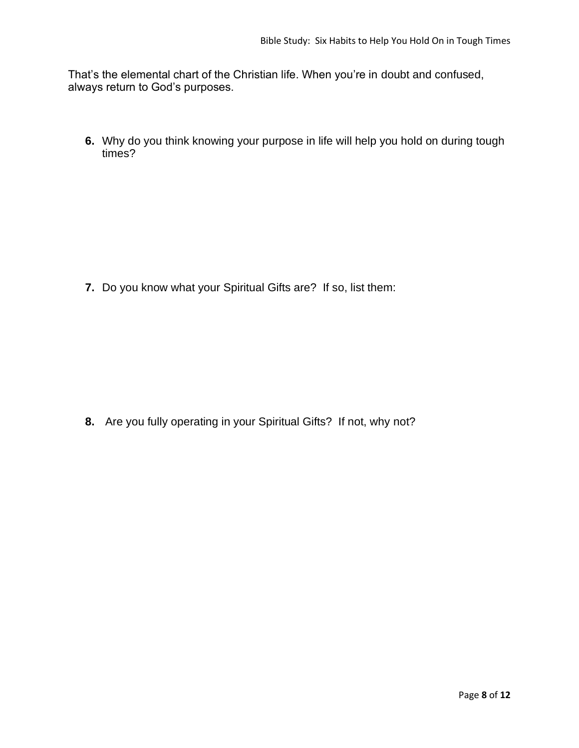That's the elemental chart of the Christian life. When you're in doubt and confused, always return to God's purposes.

**6.** Why do you think knowing your purpose in life will help you hold on during tough times?

**7.** Do you know what your Spiritual Gifts are? If so, list them:

**8.** Are you fully operating in your Spiritual Gifts? If not, why not?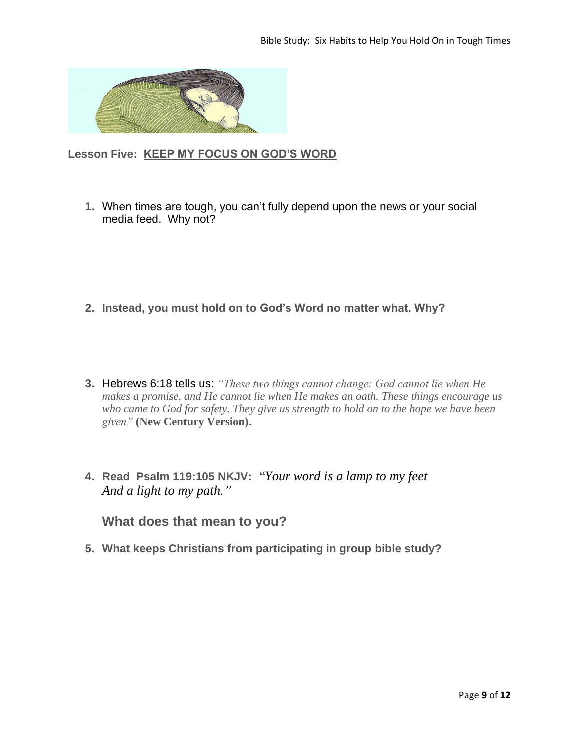

# **Lesson Five: KEEP MY FOCUS ON GOD'S WORD**

- **1.** When times are tough, you can't fully depend upon the news or your social media feed. Why not?
- **2. Instead, you must hold on to God's Word no matter what. Why?**
- **3.** Hebrews 6:18 tells us: *"These two things cannot change: God cannot lie when He makes a promise, and He cannot lie when He makes an oath. These things encourage us who came to God for safety. They give us strength to hold on to the hope we have been given"* **(New Century Version).**
- **4. Read Psalm 119:105 NKJV:** *"Your word is a lamp to my feet And a light to my path."*

**What does that mean to you?**

**5. What keeps Christians from participating in group bible study?**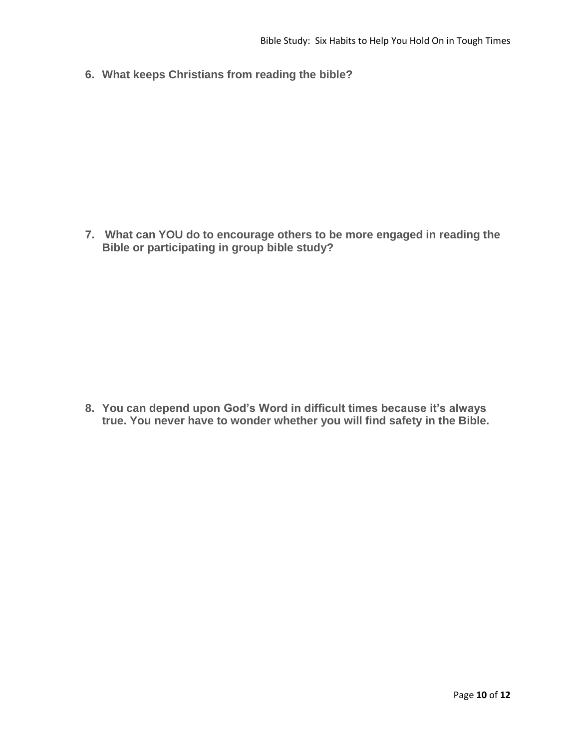**6. What keeps Christians from reading the bible?**

**7. What can YOU do to encourage others to be more engaged in reading the Bible or participating in group bible study?**

**8. You can depend upon God's Word in difficult times because it's always true. You never have to wonder whether you will find safety in the Bible.**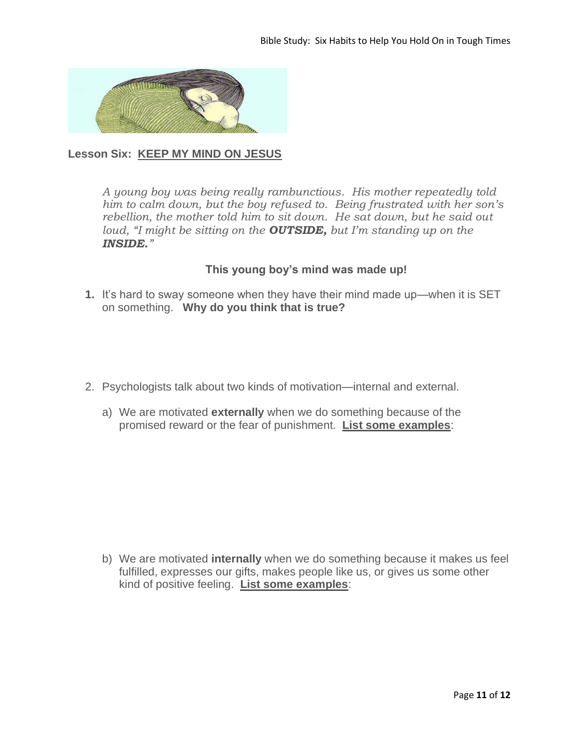

# **Lesson Six: KEEP MY MIND ON JESUS**

*A young boy was being really rambunctious. His mother repeatedly told him to calm down, but the boy refused to. Being frustrated with her son's rebellion, the mother told him to sit down. He sat down, but he said out loud, "I might be sitting on the OUTSIDE, but I'm standing up on the INSIDE."* 

# **This young boy's mind was made up!**

- **1.** It's hard to sway someone when they have their mind made up—when it is SET on something. **Why do you think that is true?**
- 2. Psychologists talk about two kinds of motivation—internal and external.
	- a) We are motivated **externally** when we do something because of the promised reward or the fear of punishment. **List some examples**:

b) We are motivated **internally** when we do something because it makes us feel fulfilled, expresses our gifts, makes people like us, or gives us some other kind of positive feeling. **List some examples**: